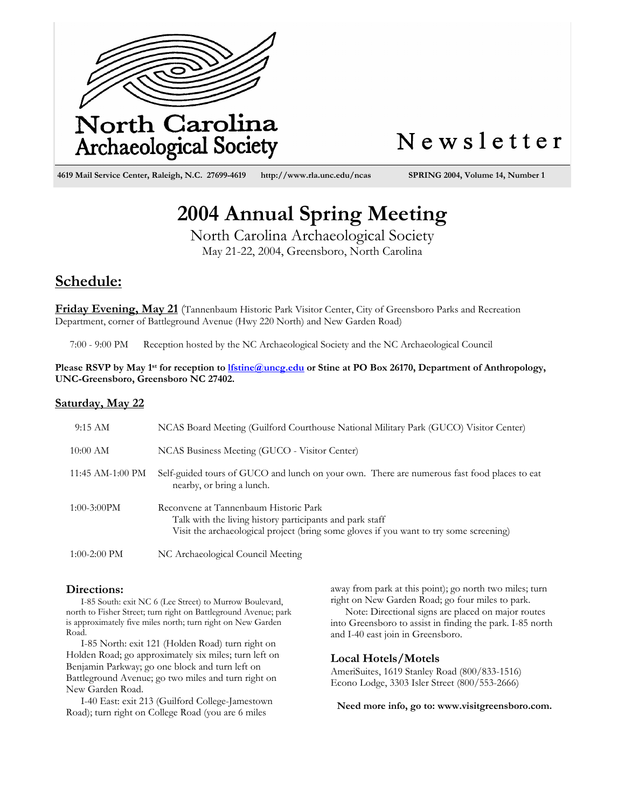

# Newsletter

 **4619 Mail Service Center, Raleigh, N.C. 27699-4619 http://www.rla.unc.edu/ncas SPRING 2004, Volume 14, Number 1**

# **2004 Annual Spring Meeting**

North Carolina Archaeological Society May 21-22, 2004, Greensboro, North Carolina

## **Schedule:**

**Friday Evening, May 21** (Tannenbaum Historic Park Visitor Center, City of Greensboro Parks and Recreation Department, corner of Battleground Avenue (Hwy 220 North) and New Garden Road)

7:00 - 9:00 PM Reception hosted by the NC Archaeological Society and the NC Archaeological Council

Please RSVP by May 1<sup>st</sup> for reception to **lfstine@uncg.edu** or Stine at PO Box 26170, Department of Anthropology, **UNC-Greensboro, Greensboro NC 27402.** 

### **Saturday, May 22**

| 9:15 AM          | NCAS Board Meeting (Guilford Courthouse National Military Park (GUCO) Visitor Center)                                                                                                       |
|------------------|---------------------------------------------------------------------------------------------------------------------------------------------------------------------------------------------|
| $10:00$ AM       | NCAS Business Meeting (GUCO - Visitor Center)                                                                                                                                               |
| 11:45 AM-1:00 PM | Self-guided tours of GUCO and lunch on your own. There are numerous fast food places to eat<br>nearby, or bring a lunch.                                                                    |
| $1:00-3:00$ PM   | Reconvene at Tannenbaum Historic Park<br>Talk with the living history participants and park staff<br>Visit the archaeological project (bring some gloves if you want to try some screening) |
| 1:00-2:00 PM     | NC Archaeological Council Meeting                                                                                                                                                           |

### **Directions:**

I-85 South: exit NC 6 (Lee Street) to Murrow Boulevard, north to Fisher Street; turn right on Battleground Avenue; park is approximately five miles north; turn right on New Garden Road.

I-85 North: exit 121 (Holden Road) turn right on Holden Road; go approximately six miles; turn left on Benjamin Parkway; go one block and turn left on Battleground Avenue; go two miles and turn right on New Garden Road.

I-40 East: exit 213 (Guilford College-Jamestown Road); turn right on College Road (you are 6 miles

away from park at this point); go north two miles; turn right on New Garden Road; go four miles to park.

Note: Directional signs are placed on major routes into Greensboro to assist in finding the park. I-85 north and I-40 east join in Greensboro.

### **Local Hotels/Motels**

AmeriSuites, 1619 Stanley Road (800/833-1516) Econo Lodge, 3303 Isler Street (800/553-2666)

**Need more info, go to: www.visitgreensboro.com.**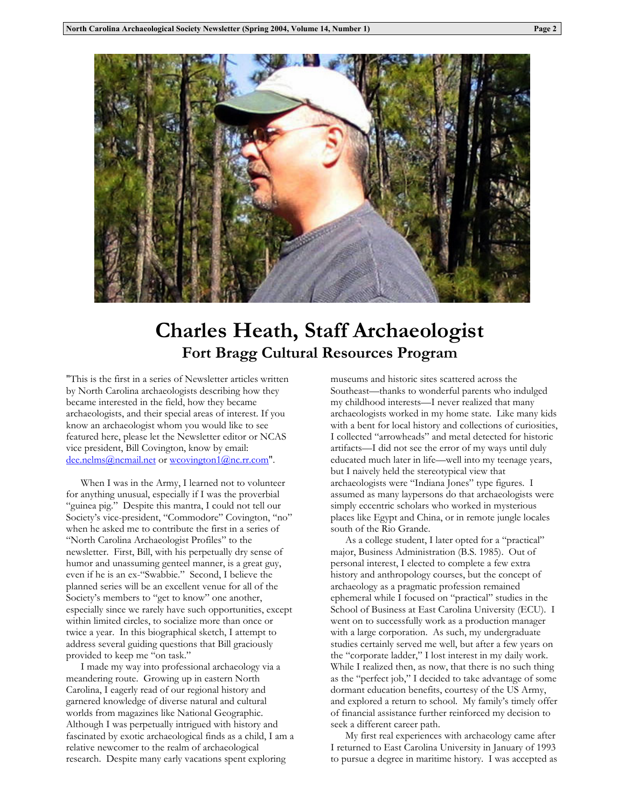

# **Charles Heath, Staff Archaeologist Fort Bragg Cultural Resources Program**

"This is the first in a series of Newsletter articles written by North Carolina archaeologists describing how they became interested in the field, how they became archaeologists, and their special areas of interest. If you know an archaeologist whom you would like to see featured here, please let the Newsletter editor or NCAS vice president, Bill Covington, know by email: dee.nelms@ncmail.net or wcovington1@nc.rr.com".

When I was in the Army, I learned not to volunteer for anything unusual, especially if I was the proverbial "guinea pig." Despite this mantra, I could not tell our Society's vice-president, "Commodore" Covington, "no" when he asked me to contribute the first in a series of "North Carolina Archaeologist Profiles" to the newsletter. First, Bill, with his perpetually dry sense of humor and unassuming genteel manner, is a great guy, even if he is an ex-"Swabbie." Second, I believe the planned series will be an excellent venue for all of the Society's members to "get to know" one another, especially since we rarely have such opportunities, except within limited circles, to socialize more than once or twice a year. In this biographical sketch, I attempt to address several guiding questions that Bill graciously provided to keep me "on task."

I made my way into professional archaeology via a meandering route. Growing up in eastern North Carolina, I eagerly read of our regional history and garnered knowledge of diverse natural and cultural worlds from magazines like National Geographic. Although I was perpetually intrigued with history and fascinated by exotic archaeological finds as a child, I am a relative newcomer to the realm of archaeological research. Despite many early vacations spent exploring

museums and historic sites scattered across the Southeast—thanks to wonderful parents who indulged my childhood interests—I never realized that many archaeologists worked in my home state. Like many kids with a bent for local history and collections of curiosities, I collected "arrowheads" and metal detected for historic artifacts—I did not see the error of my ways until duly educated much later in life—well into my teenage years, but I naively held the stereotypical view that archaeologists were "Indiana Jones" type figures. I assumed as many laypersons do that archaeologists were simply eccentric scholars who worked in mysterious places like Egypt and China, or in remote jungle locales south of the Rio Grande.

As a college student, I later opted for a "practical" major, Business Administration (B.S. 1985). Out of personal interest, I elected to complete a few extra history and anthropology courses, but the concept of archaeology as a pragmatic profession remained ephemeral while I focused on "practical" studies in the School of Business at East Carolina University (ECU). I went on to successfully work as a production manager with a large corporation. As such, my undergraduate studies certainly served me well, but after a few years on the "corporate ladder," I lost interest in my daily work. While I realized then, as now, that there is no such thing as the "perfect job," I decided to take advantage of some dormant education benefits, courtesy of the US Army, and explored a return to school. My family's timely offer of financial assistance further reinforced my decision to seek a different career path.

My first real experiences with archaeology came after I returned to East Carolina University in January of 1993 to pursue a degree in maritime history. I was accepted as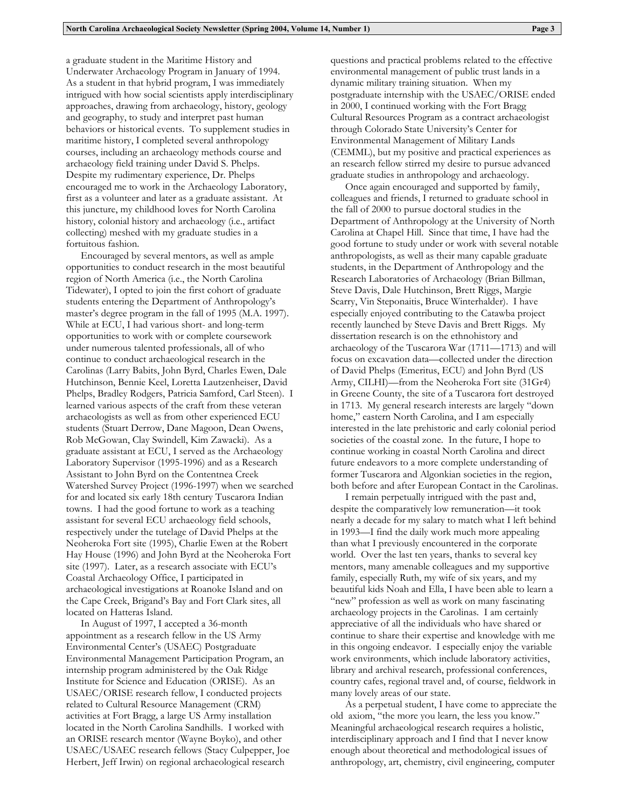a graduate student in the Maritime History and Underwater Archaeology Program in January of 1994. As a student in that hybrid program, I was immediately intrigued with how social scientists apply interdisciplinary approaches, drawing from archaeology, history, geology and geography, to study and interpret past human behaviors or historical events. To supplement studies in maritime history, I completed several anthropology courses, including an archaeology methods course and archaeology field training under David S. Phelps. Despite my rudimentary experience, Dr. Phelps encouraged me to work in the Archaeology Laboratory, first as a volunteer and later as a graduate assistant. At this juncture, my childhood loves for North Carolina history, colonial history and archaeology (i.e., artifact collecting) meshed with my graduate studies in a fortuitous fashion.

Encouraged by several mentors, as well as ample opportunities to conduct research in the most beautiful region of North America (i.e., the North Carolina Tidewater), I opted to join the first cohort of graduate students entering the Department of Anthropology's master's degree program in the fall of 1995 (M.A. 1997). While at ECU, I had various short- and long-term opportunities to work with or complete coursework under numerous talented professionals, all of who continue to conduct archaeological research in the Carolinas (Larry Babits, John Byrd, Charles Ewen, Dale Hutchinson, Bennie Keel, Loretta Lautzenheiser, David Phelps, Bradley Rodgers, Patricia Samford, Carl Steen). I learned various aspects of the craft from these veteran archaeologists as well as from other experienced ECU students (Stuart Derrow, Dane Magoon, Dean Owens, Rob McGowan, Clay Swindell, Kim Zawacki). As a graduate assistant at ECU, I served as the Archaeology Laboratory Supervisor (1995-1996) and as a Research Assistant to John Byrd on the Contentnea Creek Watershed Survey Project (1996-1997) when we searched for and located six early 18th century Tuscarora Indian towns. I had the good fortune to work as a teaching assistant for several ECU archaeology field schools, respectively under the tutelage of David Phelps at the Neoheroka Fort site (1995), Charlie Ewen at the Robert Hay House (1996) and John Byrd at the Neoheroka Fort site (1997). Later, as a research associate with ECU's Coastal Archaeology Office, I participated in archaeological investigations at Roanoke Island and on the Cape Creek, Brigand's Bay and Fort Clark sites, all located on Hatteras Island.

In August of 1997, I accepted a 36-month appointment as a research fellow in the US Army Environmental Center's (USAEC) Postgraduate Environmental Management Participation Program, an internship program administered by the Oak Ridge Institute for Science and Education (ORISE). As an USAEC/ORISE research fellow, I conducted projects related to Cultural Resource Management (CRM) activities at Fort Bragg, a large US Army installation located in the North Carolina Sandhills. I worked with an ORISE research mentor (Wayne Boyko), and other USAEC/USAEC research fellows (Stacy Culpepper, Joe Herbert, Jeff Irwin) on regional archaeological research

questions and practical problems related to the effective environmental management of public trust lands in a dynamic military training situation. When my postgraduate internship with the USAEC/ORISE ended in 2000, I continued working with the Fort Bragg Cultural Resources Program as a contract archaeologist through Colorado State University's Center for Environmental Management of Military Lands (CEMML), but my positive and practical experiences as an research fellow stirred my desire to pursue advanced graduate studies in anthropology and archaeology.

Once again encouraged and supported by family, colleagues and friends, I returned to graduate school in the fall of 2000 to pursue doctoral studies in the Department of Anthropology at the University of North Carolina at Chapel Hill. Since that time, I have had the good fortune to study under or work with several notable anthropologists, as well as their many capable graduate students, in the Department of Anthropology and the Research Laboratories of Archaeology (Brian Billman, Steve Davis, Dale Hutchinson, Brett Riggs, Margie Scarry, Vin Steponaitis, Bruce Winterhalder). I have especially enjoyed contributing to the Catawba project recently launched by Steve Davis and Brett Riggs. My dissertation research is on the ethnohistory and archaeology of the Tuscarora War (1711—1713) and will focus on excavation data—collected under the direction of David Phelps (Emeritus, ECU) and John Byrd (US Army, CILHI)—from the Neoheroka Fort site (31Gr4) in Greene County, the site of a Tuscarora fort destroyed in 1713. My general research interests are largely "down home," eastern North Carolina, and I am especially interested in the late prehistoric and early colonial period societies of the coastal zone. In the future, I hope to continue working in coastal North Carolina and direct future endeavors to a more complete understanding of former Tuscarora and Algonkian societies in the region, both before and after European Contact in the Carolinas.

I remain perpetually intrigued with the past and, despite the comparatively low remuneration—it took nearly a decade for my salary to match what I left behind in 1993—I find the daily work much more appealing than what I previously encountered in the corporate world. Over the last ten years, thanks to several key mentors, many amenable colleagues and my supportive family, especially Ruth, my wife of six years, and my beautiful kids Noah and Ella, I have been able to learn a "new" profession as well as work on many fascinating archaeology projects in the Carolinas. I am certainly appreciative of all the individuals who have shared or continue to share their expertise and knowledge with me in this ongoing endeavor. I especially enjoy the variable work environments, which include laboratory activities, library and archival research, professional conferences, country cafes, regional travel and, of course, fieldwork in many lovely areas of our state.

As a perpetual student, I have come to appreciate the old axiom, "the more you learn, the less you know." Meaningful archaeological research requires a holistic, interdisciplinary approach and I find that I never know enough about theoretical and methodological issues of anthropology, art, chemistry, civil engineering, computer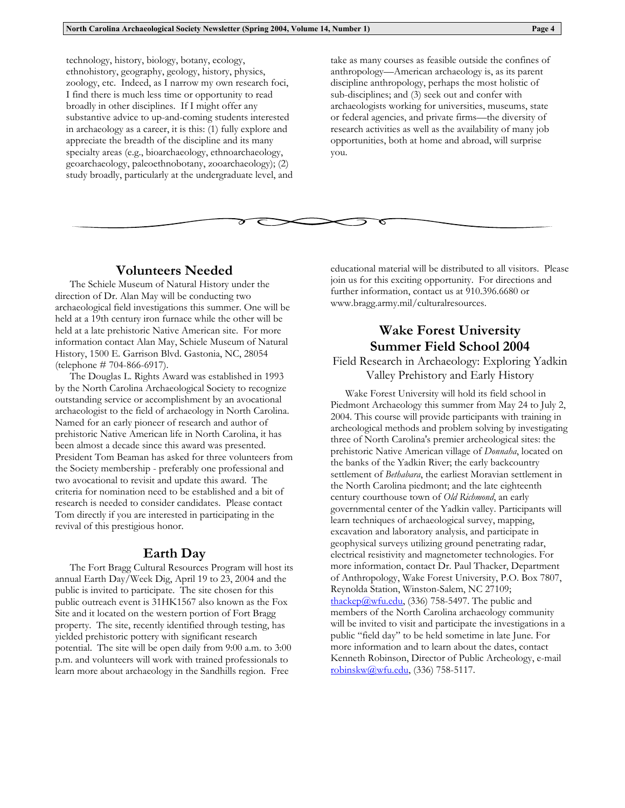technology, history, biology, botany, ecology, ethnohistory, geography, geology, history, physics, zoology, etc. Indeed, as I narrow my own research foci, I find there is much less time or opportunity to read broadly in other disciplines. If I might offer any substantive advice to up-and-coming students interested in archaeology as a career, it is this: (1) fully explore and appreciate the breadth of the discipline and its many specialty areas (e.g., bioarchaeology, ethnoarchaeology, geoarchaeology, paleoethnobotany, zooarchaeology); (2) study broadly, particularly at the undergraduate level, and take as many courses as feasible outside the confines of anthropology—American archaeology is, as its parent discipline anthropology, perhaps the most holistic of sub-disciplines; and (3) seek out and confer with archaeologists working for universities, museums, state or federal agencies, and private firms—the diversity of research activities as well as the availability of many job opportunities, both at home and abroad, will surprise you.

## **Volunteers Needed**

The Schiele Museum of Natural History under the direction of Dr. Alan May will be conducting two archaeological field investigations this summer. One will be held at a 19th century iron furnace while the other will be held at a late prehistoric Native American site. For more information contact Alan May, Schiele Museum of Natural History, 1500 E. Garrison Blvd. Gastonia, NC, 28054 (telephone # 704-866-6917).

The Douglas L. Rights Award was established in 1993 by the North Carolina Archaeological Society to recognize outstanding service or accomplishment by an avocational archaeologist to the field of archaeology in North Carolina. Named for an early pioneer of research and author of prehistoric Native American life in North Carolina, it has been almost a decade since this award was presented. President Tom Beaman has asked for three volunteers from the Society membership - preferably one professional and two avocational to revisit and update this award. The criteria for nomination need to be established and a bit of research is needed to consider candidates. Please contact Tom directly if you are interested in participating in the revival of this prestigious honor.

### **Earth Day**

The Fort Bragg Cultural Resources Program will host its annual Earth Day/Week Dig, April 19 to 23, 2004 and the public is invited to participate. The site chosen for this public outreach event is 31HK1567 also known as the Fox Site and it located on the western portion of Fort Bragg property. The site, recently identified through testing, has yielded prehistoric pottery with significant research potential. The site will be open daily from 9:00 a.m. to 3:00 p.m. and volunteers will work with trained professionals to learn more about archaeology in the Sandhills region. Free

educational material will be distributed to all visitors. Please join us for this exciting opportunity. For directions and further information, contact us at 910.396.6680 or www.bragg.army.mil/culturalresources.

ত

# **Wake Forest University Summer Field School 2004**

Field Research in Archaeology: Exploring Yadkin Valley Prehistory and Early History

Wake Forest University will hold its field school in Piedmont Archaeology this summer from May 24 to July 2, 2004. This course will provide participants with training in archeological methods and problem solving by investigating three of North Carolina's premier archeological sites: the prehistoric Native American village of *Donnaha*, located on the banks of the Yadkin River; the early backcountry settlement of *Bethabara*, the earliest Moravian settlement in the North Carolina piedmont; and the late eighteenth century courthouse town of *Old Richmond*, an early governmental center of the Yadkin valley. Participants will learn techniques of archaeological survey, mapping, excavation and laboratory analysis, and participate in geophysical surveys utilizing ground penetrating radar, electrical resistivity and magnetometer technologies. For more information, contact Dr. Paul Thacker, Department of Anthropology, Wake Forest University, P.O. Box 7807, Reynolda Station, Winston-Salem, NC 27109;  $\underline{thackep@wfu.edu}$ , (336) 758-5497. The public and members of the North Carolina archaeology community will be invited to visit and participate the investigations in a public "field day" to be held sometime in late June. For more information and to learn about the dates, contact Kenneth Robinson, Director of Public Archeology, e-mail robinskw@wfu.edu, (336) 758-5117.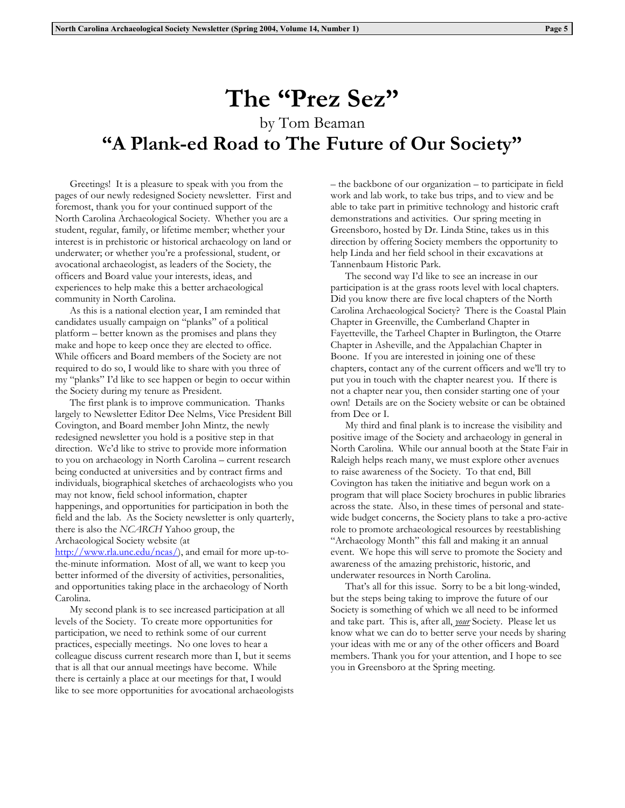# **The "Prez Sez"**  by Tom Beaman **"A Plank-ed Road to The Future of Our Society"**

 Greetings! It is a pleasure to speak with you from the pages of our newly redesigned Society newsletter. First and foremost, thank you for your continued support of the North Carolina Archaeological Society. Whether you are a student, regular, family, or lifetime member; whether your interest is in prehistoric or historical archaeology on land or underwater; or whether you're a professional, student, or avocational archaeologist, as leaders of the Society, the officers and Board value your interests, ideas, and experiences to help make this a better archaeological community in North Carolina.

 As this is a national election year, I am reminded that candidates usually campaign on "planks" of a political platform – better known as the promises and plans they make and hope to keep once they are elected to office. While officers and Board members of the Society are not required to do so, I would like to share with you three of my "planks" I'd like to see happen or begin to occur within the Society during my tenure as President.

 The first plank is to improve communication. Thanks largely to Newsletter Editor Dee Nelms, Vice President Bill Covington, and Board member John Mintz, the newly redesigned newsletter you hold is a positive step in that direction. We'd like to strive to provide more information to you on archaeology in North Carolina – current research being conducted at universities and by contract firms and individuals, biographical sketches of archaeologists who you may not know, field school information, chapter happenings, and opportunities for participation in both the field and the lab. As the Society newsletter is only quarterly, there is also the *NCARCH* Yahoo group, the Archaeological Society website (at

http://www.rla.unc.edu/ncas/), and email for more up-tothe-minute information. Most of all, we want to keep you better informed of the diversity of activities, personalities, and opportunities taking place in the archaeology of North Carolina.

 My second plank is to see increased participation at all levels of the Society. To create more opportunities for participation, we need to rethink some of our current practices, especially meetings. No one loves to hear a colleague discuss current research more than I, but it seems that is all that our annual meetings have become. While there is certainly a place at our meetings for that, I would like to see more opportunities for avocational archaeologists – the backbone of our organization – to participate in field work and lab work, to take bus trips, and to view and be able to take part in primitive technology and historic craft demonstrations and activities. Our spring meeting in Greensboro, hosted by Dr. Linda Stine, takes us in this direction by offering Society members the opportunity to help Linda and her field school in their excavations at Tannenbaum Historic Park.

 The second way I'd like to see an increase in our participation is at the grass roots level with local chapters. Did you know there are five local chapters of the North Carolina Archaeological Society? There is the Coastal Plain Chapter in Greenville, the Cumberland Chapter in Fayetteville, the Tarheel Chapter in Burlington, the Otarre Chapter in Asheville, and the Appalachian Chapter in Boone. If you are interested in joining one of these chapters, contact any of the current officers and we'll try to put you in touch with the chapter nearest you. If there is not a chapter near you, then consider starting one of your own! Details are on the Society website or can be obtained from Dee or I.

My third and final plank is to increase the visibility and positive image of the Society and archaeology in general in North Carolina. While our annual booth at the State Fair in Raleigh helps reach many, we must explore other avenues to raise awareness of the Society. To that end, Bill Covington has taken the initiative and begun work on a program that will place Society brochures in public libraries across the state. Also, in these times of personal and statewide budget concerns, the Society plans to take a pro-active role to promote archaeological resources by reestablishing "Archaeology Month" this fall and making it an annual event. We hope this will serve to promote the Society and awareness of the amazing prehistoric, historic, and underwater resources in North Carolina.

That's all for this issue. Sorry to be a bit long-winded, but the steps being taking to improve the future of our Society is something of which we all need to be informed and take part. This is, after all, *your* Society. Please let us know what we can do to better serve your needs by sharing your ideas with me or any of the other officers and Board members. Thank you for your attention, and I hope to see you in Greensboro at the Spring meeting.